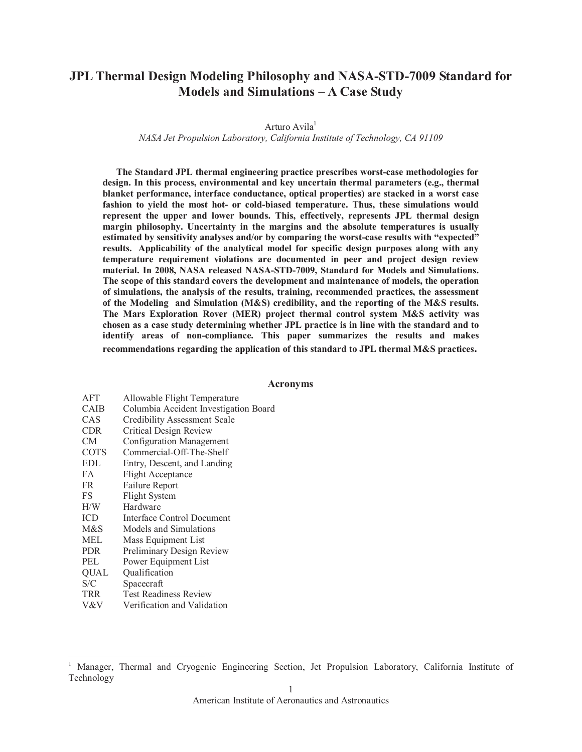# **JPL Thermal Design Modeling Philosophy and NASA-STD-7009 Standard for Models and Simulations – A Case Study**

# Arturo Avila<sup>1</sup>

*NASA Jet Propulsion Laboratory, California Institute of Technology, CA 91109* 

**The Standard JPL thermal engineering practice prescribes worst-case methodologies for design. In this process, environmental and key uncertain thermal parameters (e.g., thermal blanket performance, interface conductance, optical properties) are stacked in a worst case fashion to yield the most hot- or cold-biased temperature. Thus, these simulations would represent the upper and lower bounds. This, effectively, represents JPL thermal design margin philosophy. Uncertainty in the margins and the absolute temperatures is usually estimated by sensitivity analyses and/or by comparing the worst-case results with "expected" results. Applicability of the analytical model for specific design purposes along with any temperature requirement violations are documented in peer and project design review material. In 2008, NASA released NASA-STD-7009, Standard for Models and Simulations. The scope of this standard covers the development and maintenance of models, the operation of simulations, the analysis of the results, training, recommended practices, the assessment of the Modeling and Simulation (M&S) credibility, and the reporting of the M&S results. The Mars Exploration Rover (MER) project thermal control system M&S activity was chosen as a case study determining whether JPL practice is in line with the standard and to identify areas of non-compliance. This paper summarizes the results and makes recommendations regarding the application of this standard to JPL thermal M&S practices**-

#### **Acronyms**

| AFT         | Allowable Flight Temperature          |
|-------------|---------------------------------------|
| CAIB        | Columbia Accident Investigation Board |
| CAS         | Credibility Assessment Scale          |
| <b>CDR</b>  | Critical Design Review                |
| CM          | <b>Configuration Management</b>       |
| <b>COTS</b> | Commercial-Off-The-Shelf              |
| EDL         | Entry, Descent, and Landing           |
| FA.         | <b>Flight Acceptance</b>              |
| FR          | Failure Report                        |
| FS.         | <b>Flight System</b>                  |
| H/W         | Hardware                              |
| <b>ICD</b>  | Interface Control Document            |
| M&S         | Models and Simulations                |
| MEL         | Mass Equipment List                   |
| <b>PDR</b>  | Preliminary Design Review             |
| PEL.        | Power Equipment List                  |
| OUAL        | Qualification                         |
| S/C         | Spacecraft                            |
| TRR         | <b>Test Readiness Review</b>          |
| V&V         | Verification and Validation           |
|             |                                       |

-

<sup>1</sup> Manager, Thermal and Cryogenic Engineering Section, Jet Propulsion Laboratory, California Institute of Technology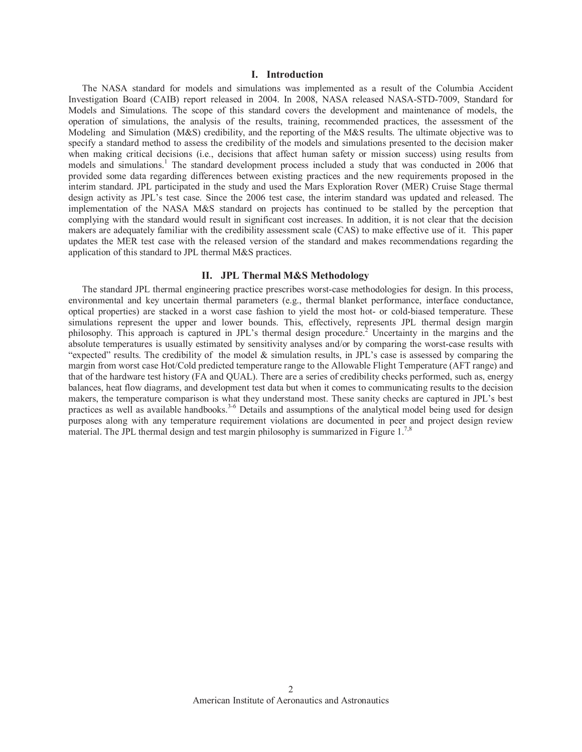## **I. Introduction**

The NASA standard for models and simulations was implemented as a result of the Columbia Accident Investigation Board (CAIB) report released in 2004. In 2008, NASA released NASA-STD-7009, Standard for Models and Simulations. The scope of this standard covers the development and maintenance of models, the operation of simulations, the analysis of the results, training, recommended practices, the assessment of the Modeling and Simulation (M&S) credibility, and the reporting of the M&S results. The ultimate objective was to specify a standard method to assess the credibility of the models and simulations presented to the decision maker when making critical decisions (i.e., decisions that affect human safety or mission success) using results from models and simulations.<sup>1</sup> The standard development process included a study that was conducted in 2006 that provided some data regarding differences between existing practices and the new requirements proposed in the interim standard. JPL participated in the study and used the Mars Exploration Rover (MER) Cruise Stage thermal design activity as JPL's test case. Since the 2006 test case, the interim standard was updated and released. The implementation of the NASA M&S standard on projects has continued to be stalled by the perception that complying with the standard would result in significant cost increases. In addition, it is not clear that the decision makers are adequately familiar with the credibility assessment scale (CAS) to make effective use of it. This paper updates the MER test case with the released version of the standard and makes recommendations regarding the application of this standard to JPL thermal M&S practices.

## **II. JPL Thermal M&S Methodology**

The standard JPL thermal engineering practice prescribes worst-case methodologies for design. In this process, environmental and key uncertain thermal parameters (e.g., thermal blanket performance, interface conductance, optical properties) are stacked in a worst case fashion to yield the most hot- or cold-biased temperature. These simulations represent the upper and lower bounds. This, effectively, represents JPL thermal design margin philosophy. This approach is captured in JPL's thermal design procedure.<sup>2</sup> Uncertainty in the margins and the absolute temperatures is usually estimated by sensitivity analyses and/or by comparing the worst-case results with "expected" results. The credibility of the model & simulation results, in JPL's case is assessed by comparing the margin from worst case Hot/Cold predicted temperature range to the Allowable Flight Temperature (AFT range) and that of the hardware test history (FA and QUAL). There are a series of credibility checks performed, such as, energy balances, heat flow diagrams, and development test data but when it comes to communicating results to the decision makers, the temperature comparison is what they understand most. These sanity checks are captured in JPL's best practices as well as available handbooks.<sup>3-6</sup> Details and assumptions of the analytical model being used for design purposes along with any temperature requirement violations are documented in peer and project design review material. The JPL thermal design and test margin philosophy is summarized in Figure  $1.^{7,8}$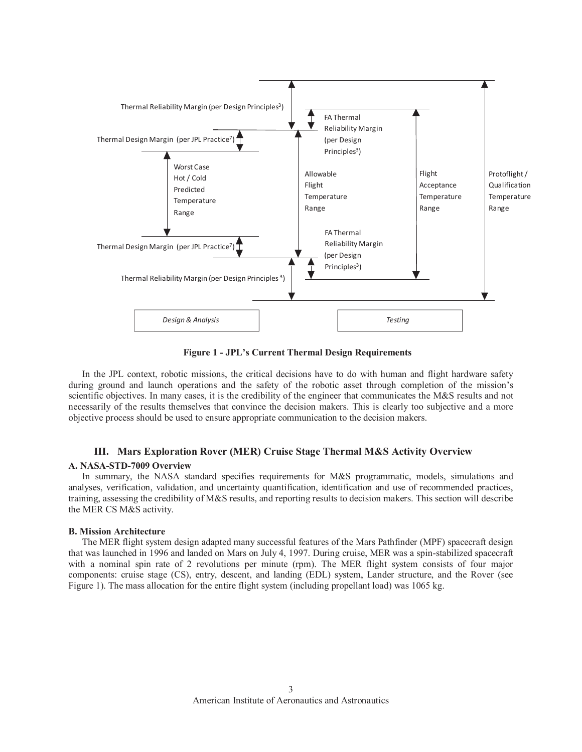

**Figure 1 - JPL's Current Thermal Design Requirements** 

In the JPL context, robotic missions, the critical decisions have to do with human and flight hardware safety during ground and launch operations and the safety of the robotic asset through completion of the mission's scientific objectives. In many cases, it is the credibility of the engineer that communicates the M&S results and not necessarily of the results themselves that convince the decision makers. This is clearly too subjective and a more objective process should be used to ensure appropriate communication to the decision makers.

# **III. Mars Exploration Rover (MER) Cruise Stage Thermal M&S Activity Overview**

## **A. NASA-STD-7009 Overview**

 In summary, the NASA standard specifies requirements for M&S programmatic, models, simulations and analyses, verification, validation, and uncertainty quantification, identification and use of recommended practices, training, assessing the credibility of M&S results, and reporting results to decision makers. This section will describe the MER CS M&S activity.

## **B. Mission Architecture**

The MER flight system design adapted many successful features of the Mars Pathfinder (MPF) spacecraft design that was launched in 1996 and landed on Mars on July 4, 1997. During cruise, MER was a spin-stabilized spacecraft with a nominal spin rate of 2 revolutions per minute (rpm). The MER flight system consists of four major components: cruise stage (CS), entry, descent, and landing (EDL) system, Lander structure, and the Rover (see Figure 1). The mass allocation for the entire flight system (including propellant load) was 1065 kg.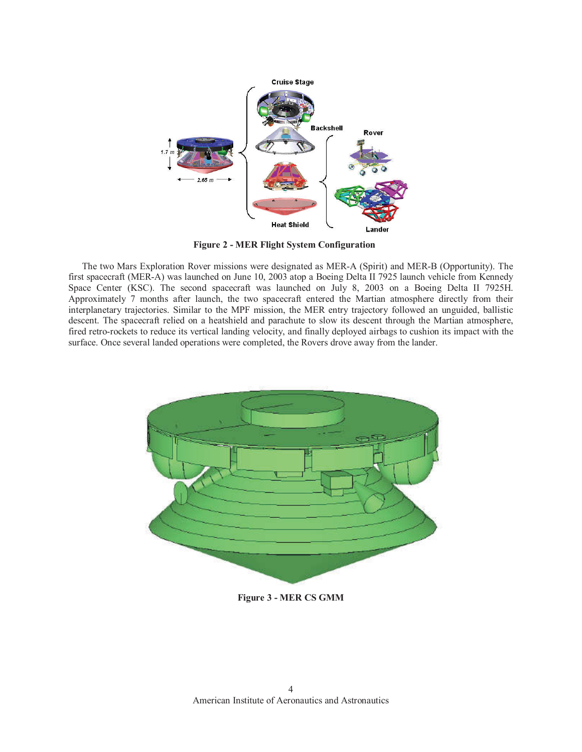

**Figure 2 - MER Flight System Configuration**

The two Mars Exploration Rover missions were designated as MER-A (Spirit) and MER-B (Opportunity). The first spacecraft (MER-A) was launched on June 10, 2003 atop a Boeing Delta II 7925 launch vehicle from Kennedy Space Center (KSC). The second spacecraft was launched on July 8, 2003 on a Boeing Delta II 7925H. Approximately 7 months after launch, the two spacecraft entered the Martian atmosphere directly from their interplanetary trajectories. Similar to the MPF mission, the MER entry trajectory followed an unguided, ballistic descent. The spacecraft relied on a heatshield and parachute to slow its descent through the Martian atmosphere, fired retro-rockets to reduce its vertical landing velocity, and finally deployed airbags to cushion its impact with the surface. Once several landed operations were completed, the Rovers drove away from the lander.



**Figure 3 - MER CS GMM**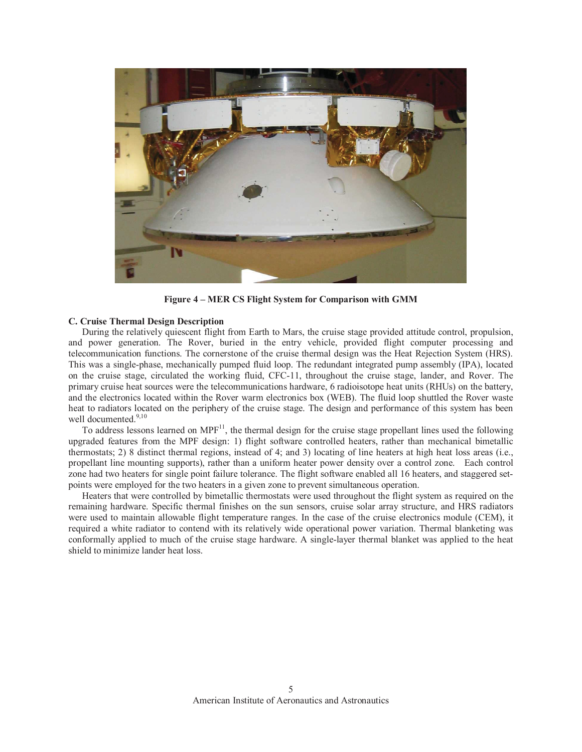

**Figure 4 – MER CS Flight System for Comparison with GMM** 

# **C. Cruise Thermal Design Description**

During the relatively quiescent flight from Earth to Mars, the cruise stage provided attitude control, propulsion, and power generation. The Rover, buried in the entry vehicle, provided flight computer processing and telecommunication functions. The cornerstone of the cruise thermal design was the Heat Rejection System (HRS). This was a single-phase, mechanically pumped fluid loop. The redundant integrated pump assembly (IPA), located on the cruise stage, circulated the working fluid, CFC-11, throughout the cruise stage, lander, and Rover. The primary cruise heat sources were the telecommunications hardware, 6 radioisotope heat units (RHUs) on the battery, and the electronics located within the Rover warm electronics box (WEB). The fluid loop shuttled the Rover waste heat to radiators located on the periphery of the cruise stage. The design and performance of this system has been well documented. $9,10$ 

To address lessons learned on  $MPF<sup>11</sup>$ , the thermal design for the cruise stage propellant lines used the following upgraded features from the MPF design: 1) flight software controlled heaters, rather than mechanical bimetallic thermostats; 2) 8 distinct thermal regions, instead of 4; and 3) locating of line heaters at high heat loss areas (i.e., propellant line mounting supports), rather than a uniform heater power density over a control zone. Each control zone had two heaters for single point failure tolerance. The flight software enabled all 16 heaters, and staggered setpoints were employed for the two heaters in a given zone to prevent simultaneous operation.

Heaters that were controlled by bimetallic thermostats were used throughout the flight system as required on the remaining hardware. Specific thermal finishes on the sun sensors, cruise solar array structure, and HRS radiators were used to maintain allowable flight temperature ranges. In the case of the cruise electronics module (CEM), it required a white radiator to contend with its relatively wide operational power variation. Thermal blanketing was conformally applied to much of the cruise stage hardware. A single-layer thermal blanket was applied to the heat shield to minimize lander heat loss.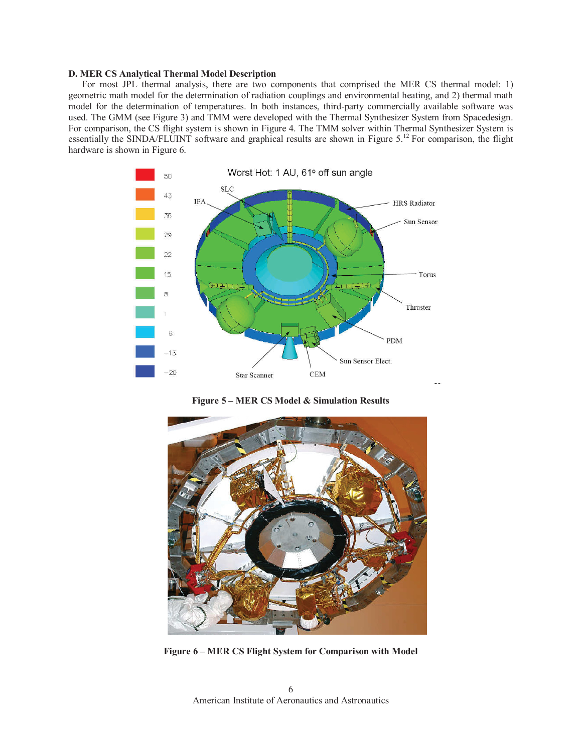## **D. MER CS Analytical Thermal Model Description**

For most JPL thermal analysis, there are two components that comprised the MER CS thermal model: 1) geometric math model for the determination of radiation couplings and environmental heating, and 2) thermal math model for the determination of temperatures. In both instances, third-party commercially available software was used. The GMM (see Figure 3) and TMM were developed with the Thermal Synthesizer System from Spacedesign. For comparison, the CS flight system is shown in Figure 4. The TMM solver within Thermal Synthesizer System is essentially the SINDA/FLUINT software and graphical results are shown in Figure 5.<sup>12</sup> For comparison, the flight hardware is shown in Figure 6.







**Figure 6 – MER CS Flight System for Comparison with Model**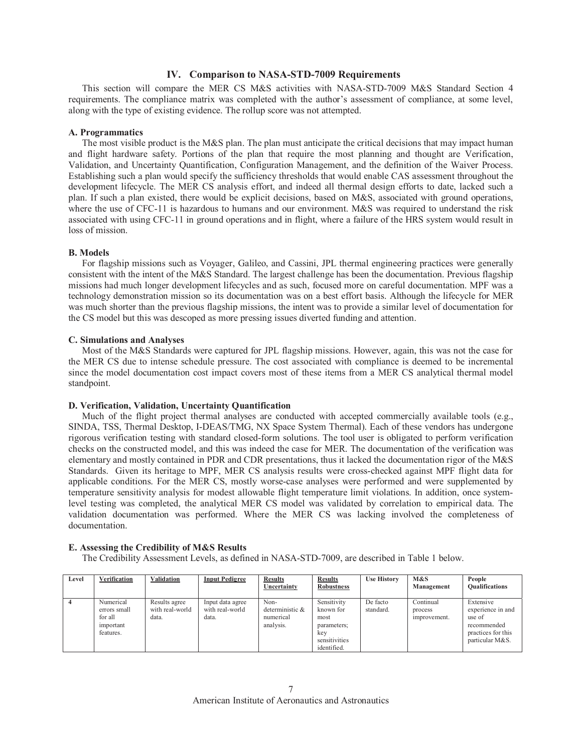# **IV. Comparison to NASA-STD-7009 Requirements**

 This section will compare the MER CS M&S activities with NASA-STD-7009 M&S Standard Section 4 requirements. The compliance matrix was completed with the author's assessment of compliance, at some level, along with the type of existing evidence. The rollup score was not attempted.

#### **A. Programmatics**

The most visible product is the M&S plan. The plan must anticipate the critical decisions that may impact human and flight hardware safety. Portions of the plan that require the most planning and thought are Verification, Validation, and Uncertainty Quantification, Configuration Management, and the definition of the Waiver Process. Establishing such a plan would specify the sufficiency thresholds that would enable CAS assessment throughout the development lifecycle. The MER CS analysis effort, and indeed all thermal design efforts to date, lacked such a plan. If such a plan existed, there would be explicit decisions, based on M&S, associated with ground operations, where the use of CFC-11 is hazardous to humans and our environment. M&S was required to understand the risk associated with using CFC-11 in ground operations and in flight, where a failure of the HRS system would result in loss of mission.

#### **B. Models**

For flagship missions such as Voyager, Galileo, and Cassini, JPL thermal engineering practices were generally consistent with the intent of the M&S Standard. The largest challenge has been the documentation. Previous flagship missions had much longer development lifecycles and as such, focused more on careful documentation. MPF was a technology demonstration mission so its documentation was on a best effort basis. Although the lifecycle for MER was much shorter than the previous flagship missions, the intent was to provide a similar level of documentation for the CS model but this was descoped as more pressing issues diverted funding and attention.

#### **C. Simulations and Analyses**

Most of the M&S Standards were captured for JPL flagship missions. However, again, this was not the case for the MER CS due to intense schedule pressure. The cost associated with compliance is deemed to be incremental since the model documentation cost impact covers most of these items from a MER CS analytical thermal model standpoint.

#### **D. Verification, Validation, Uncertainty Quantification**

Much of the flight project thermal analyses are conducted with accepted commercially available tools (e.g., SINDA, TSS, Thermal Desktop, I-DEAS/TMG, NX Space System Thermal). Each of these vendors has undergone rigorous verification testing with standard closed-form solutions. The tool user is obligated to perform verification checks on the constructed model, and this was indeed the case for MER. The documentation of the verification was elementary and mostly contained in PDR and CDR presentations, thus it lacked the documentation rigor of the M&S Standards. Given its heritage to MPF, MER CS analysis results were cross-checked against MPF flight data for applicable conditions. For the MER CS, mostly worse-case analyses were performed and were supplemented by temperature sensitivity analysis for modest allowable flight temperature limit violations. In addition, once systemlevel testing was completed, the analytical MER CS model was validated by correlation to empirical data. The validation documentation was performed. Where the MER CS was lacking involved the completeness of documentation.

# **E. Assessing the Credibility of M&S Results**

The Credibility Assessment Levels, as defined in NASA-STD-7009, are described in Table 1 below.

| Level | Verification                                                   | Validation                                | <b>Input Pedigree</b>                        | <b>Results</b><br>Uncertainty                     | <b>Results</b><br><b>Robustness</b>                                                    | <b>Use History</b>    | M&S<br>Management                    | People<br><b>Qualifications</b>                                                                  |
|-------|----------------------------------------------------------------|-------------------------------------------|----------------------------------------------|---------------------------------------------------|----------------------------------------------------------------------------------------|-----------------------|--------------------------------------|--------------------------------------------------------------------------------------------------|
|       | Numerical<br>errors small<br>for all<br>important<br>features. | Results agree<br>with real-world<br>data. | Input data agree<br>with real-world<br>data. | Non-<br>deterministic &<br>numerical<br>analysis. | Sensitivity<br>known for<br>most<br>parameters:<br>kev<br>sensitivities<br>identified. | De facto<br>standard. | Continual<br>process<br>improvement. | Extensive<br>experience in and<br>use of<br>recommended<br>practices for this<br>particular M&S. |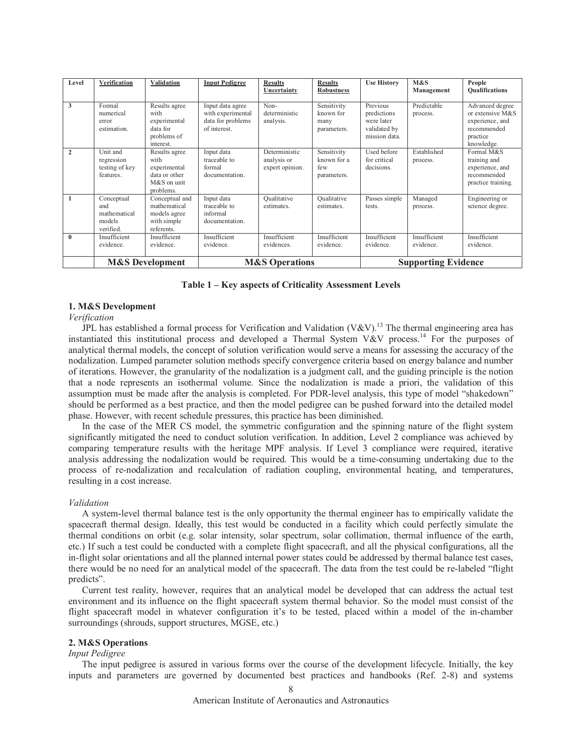| Level        | Verification                                             | Validation                                                                         | <b>Input Pedigree</b>                                                      | <b>Results</b><br>Uncertainty                   | <b>Results</b><br><b>Robustness</b>              | <b>Use History</b>                                                     | M&S<br>Management         | People<br><b>Qualifications</b>                                                                   |
|--------------|----------------------------------------------------------|------------------------------------------------------------------------------------|----------------------------------------------------------------------------|-------------------------------------------------|--------------------------------------------------|------------------------------------------------------------------------|---------------------------|---------------------------------------------------------------------------------------------------|
| 3            | Formal<br>numerical<br>error<br>estimation.              | Results agree<br>with<br>experimental<br>data for<br>problems of<br>interest.      | Input data agree<br>with experimental<br>data for problems<br>of interest. | Non-<br>deterministic<br>analysis.              | Sensitivity<br>known for<br>many<br>parameters.  | Previous<br>predictions<br>were later<br>validated by<br>mission data. | Predictable<br>process.   | Advanced degree<br>or extensive $M&S$<br>experience, and<br>recommended<br>practice<br>knowledge. |
| $\mathbf{2}$ | Unit and<br>regression<br>testing of key<br>features.    | Results agree<br>with<br>experimental<br>data or other<br>M&S on unit<br>problems. | Input data<br>traceable to<br>formal<br>documentation.                     | Deterministic<br>analysis or<br>expert opinion. | Sensitivity<br>known for a<br>few<br>parameters. | Used before<br>for critical<br>decisions.                              | Established<br>process.   | Formal M&S<br>training and<br>experience, and<br>recommended<br>practice training.                |
| 1            | Conceptual<br>and<br>mathematical<br>models<br>verified. | Conceptual and<br>mathematical<br>models agree<br>with simple<br>referents.        | Input data<br>traceable to<br>informal<br>documentation.                   | Oualitative<br>estimates.                       | Oualitative<br>estimates.                        | Passes simple<br>tests.                                                | Managed<br>process.       | Engineering or<br>science degree.                                                                 |
| $\mathbf{0}$ | Insufficient<br>evidence.                                | Insufficient<br>evidence.                                                          | Insufficient<br>evidence.                                                  | Insufficient<br>evidences.                      | Insufficient<br>evidence.                        | Insufficient<br>evidence.                                              | Insufficient<br>evidence. | Insufficient<br>evidence.                                                                         |
|              | <b>M&amp;S</b> Development                               |                                                                                    | <b>M&amp;S</b> Operations                                                  |                                                 |                                                  | <b>Supporting Evidence</b>                                             |                           |                                                                                                   |

**Table 1 – Key aspects of Criticality Assessment Levels** 

#### **1. M&S Development**

*Verification* 

JPL has established a formal process for Verification and Validation (V&V).<sup>13</sup> The thermal engineering area has instantiated this institutional process and developed a Thermal System V&V process.<sup>14</sup> For the purposes of analytical thermal models, the concept of solution verification would serve a means for assessing the accuracy of the nodalization. Lumped parameter solution methods specify convergence criteria based on energy balance and number of iterations. However, the granularity of the nodalization is a judgment call, and the guiding principle is the notion that a node represents an isothermal volume. Since the nodalization is made a priori, the validation of this assumption must be made after the analysis is completed. For PDR-level analysis, this type of model "shakedown" should be performed as a best practice, and then the model pedigree can be pushed forward into the detailed model phase. However, with recent schedule pressures, this practice has been diminished.

In the case of the MER CS model, the symmetric configuration and the spinning nature of the flight system significantly mitigated the need to conduct solution verification. In addition, Level 2 compliance was achieved by comparing temperature results with the heritage MPF analysis. If Level 3 compliance were required, iterative analysis addressing the nodalization would be required. This would be a time-consuming undertaking due to the process of re-nodalization and recalculation of radiation coupling, environmental heating, and temperatures, resulting in a cost increase.

## *Validation*

A system-level thermal balance test is the only opportunity the thermal engineer has to empirically validate the spacecraft thermal design. Ideally, this test would be conducted in a facility which could perfectly simulate the thermal conditions on orbit (e.g. solar intensity, solar spectrum, solar collimation, thermal influence of the earth, etc.) If such a test could be conducted with a complete flight spacecraft, and all the physical configurations, all the in-flight solar orientations and all the planned internal power states could be addressed by thermal balance test cases, there would be no need for an analytical model of the spacecraft. The data from the test could be re-labeled "flight predicts".

Current test reality, however, requires that an analytical model be developed that can address the actual test environment and its influence on the flight spacecraft system thermal behavior. So the model must consist of the flight spacecraft model in whatever configuration it's to be tested, placed within a model of the in-chamber surroundings (shrouds, support structures, MGSE, etc.)

## **2. M&S Operations**

#### *Input Pedigree*

The input pedigree is assured in various forms over the course of the development lifecycle. Initially, the key inputs and parameters are governed by documented best practices and handbooks (Ref. 2-8) and systems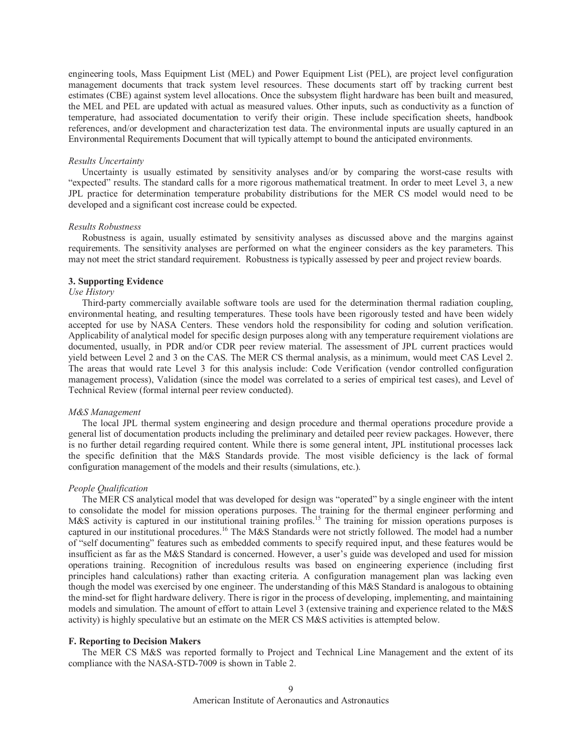engineering tools, Mass Equipment List (MEL) and Power Equipment List (PEL), are project level configuration management documents that track system level resources. These documents start off by tracking current best estimates (CBE) against system level allocations. Once the subsystem flight hardware has been built and measured, the MEL and PEL are updated with actual as measured values. Other inputs, such as conductivity as a function of temperature, had associated documentation to verify their origin. These include specification sheets, handbook references, and/or development and characterization test data. The environmental inputs are usually captured in an Environmental Requirements Document that will typically attempt to bound the anticipated environments.

#### *Results Uncertainty*

Uncertainty is usually estimated by sensitivity analyses and/or by comparing the worst-case results with "expected" results. The standard calls for a more rigorous mathematical treatment. In order to meet Level 3, a new JPL practice for determination temperature probability distributions for the MER CS model would need to be developed and a significant cost increase could be expected.

## *Results Robustness*

Robustness is again, usually estimated by sensitivity analyses as discussed above and the margins against requirements. The sensitivity analyses are performed on what the engineer considers as the key parameters. This may not meet the strict standard requirement. Robustness is typically assessed by peer and project review boards.

# **3. Supporting Evidence**

# *Use History*

Third-party commercially available software tools are used for the determination thermal radiation coupling, environmental heating, and resulting temperatures. These tools have been rigorously tested and have been widely accepted for use by NASA Centers. These vendors hold the responsibility for coding and solution verification. Applicability of analytical model for specific design purposes along with any temperature requirement violations are documented, usually, in PDR and/or CDR peer review material. The assessment of JPL current practices would yield between Level 2 and 3 on the CAS. The MER CS thermal analysis, as a minimum, would meet CAS Level 2. The areas that would rate Level 3 for this analysis include: Code Verification (vendor controlled configuration management process), Validation (since the model was correlated to a series of empirical test cases), and Level of Technical Review (formal internal peer review conducted).

# *M&S Management*

The local JPL thermal system engineering and design procedure and thermal operations procedure provide a general list of documentation products including the preliminary and detailed peer review packages. However, there is no further detail regarding required content. While there is some general intent, JPL institutional processes lack the specific definition that the M&S Standards provide. The most visible deficiency is the lack of formal configuration management of the models and their results (simulations, etc.).

#### *People Qualification*

The MER CS analytical model that was developed for design was "operated" by a single engineer with the intent to consolidate the model for mission operations purposes. The training for the thermal engineer performing and M&S activity is captured in our institutional training profiles.<sup>15</sup> The training for mission operations purposes is captured in our institutional procedures.<sup>16</sup> The M&S Standards were not strictly followed. The model had a number of "self documenting" features such as embedded comments to specify required input, and these features would be insufficient as far as the M&S Standard is concerned. However, a user's guide was developed and used for mission operations training. Recognition of incredulous results was based on engineering experience (including first principles hand calculations) rather than exacting criteria. A configuration management plan was lacking even though the model was exercised by one engineer. The understanding of this M&S Standard is analogous to obtaining the mind-set for flight hardware delivery. There is rigor in the process of developing, implementing, and maintaining models and simulation. The amount of effort to attain Level 3 (extensive training and experience related to the M&S activity) is highly speculative but an estimate on the MER CS M&S activities is attempted below.

#### **F. Reporting to Decision Makers**

The MER CS M&S was reported formally to Project and Technical Line Management and the extent of its compliance with the NASA-STD-7009 is shown in Table 2.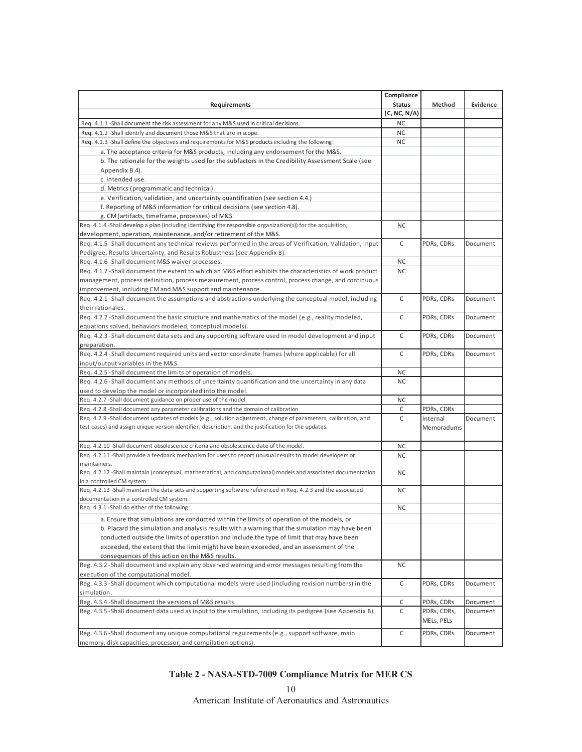| Requirements                                                                                                                                                                                                             | Compliance<br><b>Status</b><br>(C, NC, N/A) | Method                    | Evidence |
|--------------------------------------------------------------------------------------------------------------------------------------------------------------------------------------------------------------------------|---------------------------------------------|---------------------------|----------|
| Req. 4.1.1 -Shall document the risk assessment for any M&S used in critical decisions.                                                                                                                                   | <b>NC</b>                                   |                           |          |
| Req. 4.1.2 - Shall identify and document those M&S that are in scope.                                                                                                                                                    | <b>NC</b>                                   |                           |          |
| Req. 4.1.3 -Shall define the objectives and requirements for M&S products including the following:                                                                                                                       | <b>NC</b>                                   |                           |          |
| a. The acceptance criteria for M&S products, including any endorsement for the M&S.                                                                                                                                      |                                             |                           |          |
| b. The rationale for the weights used for the subfactors in the Credibility Assessment Scale (see                                                                                                                        |                                             |                           |          |
|                                                                                                                                                                                                                          |                                             |                           |          |
| Appendix B.4).                                                                                                                                                                                                           |                                             |                           |          |
| c. Intended use.                                                                                                                                                                                                         |                                             |                           |          |
| d. Metrics (programmatic and technical).                                                                                                                                                                                 |                                             |                           |          |
| e. Verification, validation, and uncertainty quantification (see section 4.4.)                                                                                                                                           |                                             |                           |          |
| f. Reporting of M&S information for critical decisions (see section 4.8).                                                                                                                                                |                                             |                           |          |
| g. CM (artifacts, timeframe, processes) of M&S.                                                                                                                                                                          |                                             |                           |          |
| Req. 4.1.4 -Shall develop a plan (including identifying the responsible organization(s)) for the acquisition,                                                                                                            | <b>NC</b>                                   |                           |          |
| development, operation, maintenance, and/or retirement of the M&S.                                                                                                                                                       |                                             |                           |          |
| Req. 4.1.5 - Shall document any technical reviews performed in the areas of Verification, Validation, Input                                                                                                              | C                                           | PDRs, CDRs                | Document |
| Pedigree, Results Uncertainty, and Results Robustness (see Appendix B).                                                                                                                                                  |                                             |                           |          |
| Req. 4.1.6 - Shall document M&S waiver processes.                                                                                                                                                                        | <b>NC</b>                                   |                           |          |
| Req. 4.1.7 - Shall document the extent to which an M&S effort exhibits the characteristics of work product                                                                                                               | <b>NC</b>                                   |                           |          |
| management, process definition, process measurement, process control, process change, and continuous                                                                                                                     |                                             |                           |          |
| improvement, including CM and M&S support and maintenance.                                                                                                                                                               |                                             |                           |          |
| Req. 4.2.1-Shall document the assumptions and abstractions underlying the conceptual model, including                                                                                                                    | C                                           | PDRs, CDRs                | Document |
| their rationales.                                                                                                                                                                                                        |                                             |                           |          |
| Req. 4.2.2 - Shall document the basic structure and mathematics of the model (e.g., reality modeled,                                                                                                                     | C                                           | PDRs, CDRs                | Document |
| equations solved, behaviors modeled, conceptual models).                                                                                                                                                                 |                                             |                           |          |
| Req. 4.2.3 - Shall document data sets and any supporting software used in model development and input                                                                                                                    | C                                           | PDRs, CDRs                | Document |
| preparation.                                                                                                                                                                                                             |                                             |                           |          |
| Req. 4.2.4 - Shall document required units and vector coordinate frames (where applicable) for all                                                                                                                       | C                                           | PDRs, CDRs                | Document |
| input/output variables in the M&S.                                                                                                                                                                                       |                                             |                           |          |
| Req. 4.2.5 - Shall document the limits of operation of models.                                                                                                                                                           | ΝC                                          |                           |          |
| Req. 4.2.6 - Shall document any methods of uncertainty quantification and the uncertainty in any data                                                                                                                    | <b>NC</b>                                   |                           |          |
|                                                                                                                                                                                                                          |                                             |                           |          |
| used to develop the model or incorporated into the model.                                                                                                                                                                |                                             |                           |          |
| Req. 4.2.7 -Shall document guidance on proper use of the model.                                                                                                                                                          | <b>NC</b>                                   |                           |          |
| Req. 4.2.8 -Shall document any parameter calibrations and the domain of calibration.                                                                                                                                     | C                                           | PDRs, CDRs                |          |
| Req. 4.2.9 -Shall document updates of models (e.g., solution adjustment, change of parameters, calibration, and<br>test cases) and assign unique version identifier, description, and the justification for the updates. | C                                           | Internal<br>Memoradums    | Document |
| Req. 4.2.10 -Shall document obsolescence criteria and obsolescence date of the model.                                                                                                                                    | NC                                          |                           |          |
| Req. 4.2.11 -Shall provide a feedback mechanism for users to report unusual results to model developers or                                                                                                               | <b>NC</b>                                   |                           |          |
| maintainers.                                                                                                                                                                                                             |                                             |                           |          |
| Req. 4.2.12 -Shall maintain (conceptual, mathematical, and computational) models and associated documentation                                                                                                            | <b>NC</b>                                   |                           |          |
| in a controlled CM system.                                                                                                                                                                                               |                                             |                           |          |
| Reg. 4.2.13 -Shall maintain the data sets and supporting software referenced in Reg. 4.2.3 and the associated                                                                                                            | <b>NC</b>                                   |                           |          |
| documentation in a controlled CM system.                                                                                                                                                                                 |                                             |                           |          |
| Req. 4.3.1 -Shall do either of the following:                                                                                                                                                                            | ΝC                                          |                           |          |
| a. Ensure that simulations are conducted within the limits of operation of the models, or                                                                                                                                |                                             |                           |          |
| b. Placard the simulation and analysis results with a warning that the simulation may have been                                                                                                                          |                                             |                           |          |
| conducted outside the limits of operation and include the type of limit that may have been                                                                                                                               |                                             |                           |          |
| exceeded, the extent that the limit might have been exceeded, and an assessment of the                                                                                                                                   |                                             |                           |          |
|                                                                                                                                                                                                                          |                                             |                           |          |
| consequences of this action on the M&S results.                                                                                                                                                                          |                                             |                           |          |
| Reg. 4.3.2 - Shall document and explain any observed warning and error messages resulting from the                                                                                                                       | <b>NC</b>                                   |                           |          |
| execution of the computational model.                                                                                                                                                                                    |                                             |                           |          |
| Reg. 4.3.3 - Shall document which computational models were used (including revision numbers) in the                                                                                                                     | C                                           | PDRs, CDRs                | Document |
| simulation.                                                                                                                                                                                                              |                                             |                           |          |
| Reg. 4.3.4 - Shall document the versions of M&S results.                                                                                                                                                                 | С                                           | PDRs, CDRs                | Document |
| Reg. 4.3.5 - Shall document data used as input to the simulation, including its pedigree (see Appendix B).                                                                                                               | C                                           | PDRs, CDRs,<br>MELs, PELs | Document |
| Reg. 4.3.6 - Shall document any unique computational reguirements (e.g., support software, main                                                                                                                          | С                                           | PDRs, CDRs                | Document |
| memory, disk capacities, processor, and compilation options).                                                                                                                                                            |                                             |                           |          |

# Table 2 - NASA-STD-7009 Compliance Matrix for MER CS

 $10\,$ American Institute of Aeronautics and Astronautics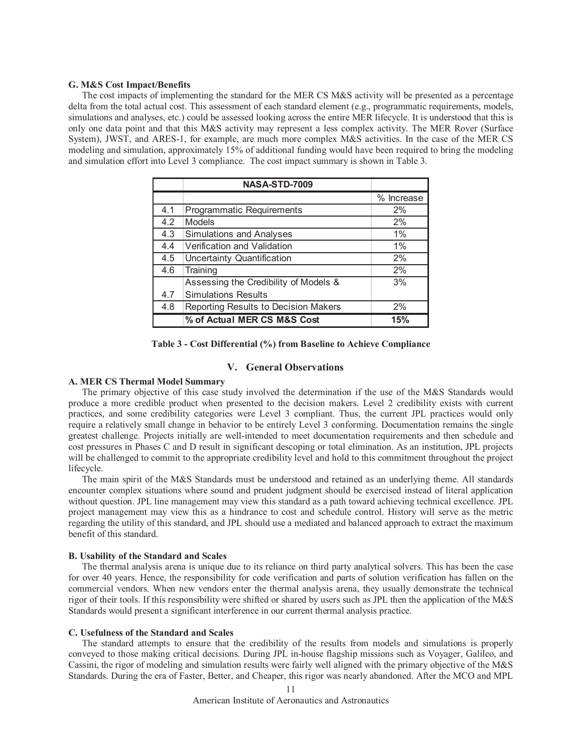#### **G. M&S Cost Impact/Benefits**

The cost impacts of implementing the standard for the MER CS M&S activity will be presented as a percentage delta from the total actual cost. This assessment of each standard element (e.g., programmatic requirements, models, simulations and analyses, etc.) could be assessed looking across the entire MER lifecycle. It is understood that this is only one data point and that this M&S activity may represent a less complex activity. The MER Rover (Surface System), JWST, and ARES-1, for example, are much more complex M&S activities. In the case of the MER CS modeling and simulation, approximately 15% of additional funding would have been required to bring the modeling and simulation effort into Level 3 compliance. The cost impact summary is shown in Table 3.

|     | <b>NASA-STD-7009</b>                  |            |
|-----|---------------------------------------|------------|
|     |                                       | % Increase |
| 4.1 | Programmatic Requirements             | 2%         |
| 4.2 | <b>Models</b>                         | 2%         |
| 4.3 | Simulations and Analyses              | $1\%$      |
| 4.4 | Verification and Validation           | 1%         |
| 4.5 | <b>Uncertainty Quantification</b>     | 2%         |
| 4.6 | Training                              | 2%         |
|     | Assessing the Credibility of Models & | 3%         |
| 4.7 | <b>Simulations Results</b>            |            |
| 4.8 | Reporting Results to Decision Makers  | 2%         |
|     | % of Actual MER CS M&S Cost           | 15%        |

**Table 3 - Cost Differential (%) from Baseline to Achieve Compliance** 

# **V. General Observations**

# **A. MER CS Thermal Model Summary**

The primary objective of this case study involved the determination if the use of the M&S Standards would produce a more credible product when presented to the decision makers. Level 2 credibility exists with current practices, and some credibility categories were Level 3 compliant. Thus, the current JPL practices would only require a relatively small change in behavior to be entirely Level 3 conforming. Documentation remains the single greatest challenge. Projects initially are well-intended to meet documentation requirements and then schedule and cost pressures in Phases C and D result in significant descoping or total elimination. As an institution, JPL projects will be challenged to commit to the appropriate credibility level and hold to this commitment throughout the project lifecycle.

The main spirit of the M&S Standards must be understood and retained as an underlying theme. All standards encounter complex situations where sound and prudent judgment should be exercised instead of literal application without question. JPL line management may view this standard as a path toward achieving technical excellence. JPL project management may view this as a hindrance to cost and schedule control. History will serve as the metric regarding the utility of this standard, and JPL should use a mediated and balanced approach to extract the maximum benefit of this standard.

#### **B. Usability of the Standard and Scales**

The thermal analysis arena is unique due to its reliance on third party analytical solvers. This has been the case for over 40 years. Hence, the responsibility for code verification and parts of solution verification has fallen on the commercial vendors. When new vendors enter the thermal analysis arena, they usually demonstrate the technical rigor of their tools. If this responsibility were shifted or shared by users such as JPL then the application of the M&S Standards would present a significant interference in our current thermal analysis practice.

## **C. Usefulness of the Standard and Scales**

The standard attempts to ensure that the credibility of the results from models and simulations is properly conveyed to those making critical decisions. During JPL in-house flagship missions such as Voyager, Galileo, and Cassini, the rigor of modeling and simulation results were fairly well aligned with the primary objective of the M&S Standards. During the era of Faster, Better, and Cheaper, this rigor was nearly abandoned. After the MCO and MPL

11

American Institute of Aeronautics and Astronautics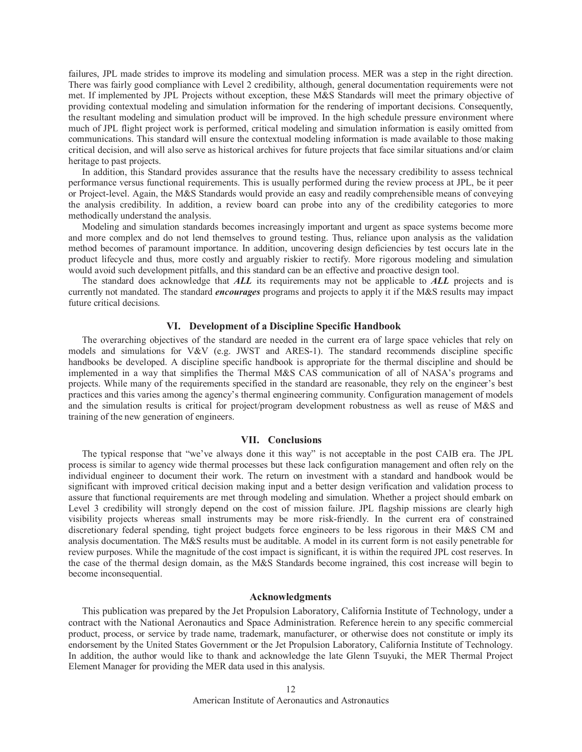failures, JPL made strides to improve its modeling and simulation process. MER was a step in the right direction. There was fairly good compliance with Level 2 credibility, although, general documentation requirements were not met. If implemented by JPL Projects without exception, these M&S Standards will meet the primary objective of providing contextual modeling and simulation information for the rendering of important decisions. Consequently, the resultant modeling and simulation product will be improved. In the high schedule pressure environment where much of JPL flight project work is performed, critical modeling and simulation information is easily omitted from communications. This standard will ensure the contextual modeling information is made available to those making critical decision, and will also serve as historical archives for future projects that face similar situations and/or claim heritage to past projects.

In addition, this Standard provides assurance that the results have the necessary credibility to assess technical performance versus functional requirements. This is usually performed during the review process at JPL, be it peer or Project-level. Again, the M&S Standards would provide an easy and readily comprehensible means of conveying the analysis credibility. In addition, a review board can probe into any of the credibility categories to more methodically understand the analysis.

Modeling and simulation standards becomes increasingly important and urgent as space systems become more and more complex and do not lend themselves to ground testing. Thus, reliance upon analysis as the validation method becomes of paramount importance. In addition, uncovering design deficiencies by test occurs late in the product lifecycle and thus, more costly and arguably riskier to rectify. More rigorous modeling and simulation would avoid such development pitfalls, and this standard can be an effective and proactive design tool.

The standard does acknowledge that *ALL* its requirements may not be applicable to *ALL* projects and is currently not mandated. The standard *encourages* programs and projects to apply it if the M&S results may impact future critical decisions.

# **VI. Development of a Discipline Specific Handbook**

The overarching objectives of the standard are needed in the current era of large space vehicles that rely on models and simulations for V&V (e.g. JWST and ARES-1). The standard recommends discipline specific handbooks be developed. A discipline specific handbook is appropriate for the thermal discipline and should be implemented in a way that simplifies the Thermal M&S CAS communication of all of NASA's programs and projects. While many of the requirements specified in the standard are reasonable, they rely on the engineer's best practices and this varies among the agency's thermal engineering community. Configuration management of models and the simulation results is critical for project/program development robustness as well as reuse of M&S and training of the new generation of engineers.

# **VII. Conclusions**

The typical response that "we've always done it this way" is not acceptable in the post CAIB era. The JPL process is similar to agency wide thermal processes but these lack configuration management and often rely on the individual engineer to document their work. The return on investment with a standard and handbook would be significant with improved critical decision making input and a better design verification and validation process to assure that functional requirements are met through modeling and simulation. Whether a project should embark on Level 3 credibility will strongly depend on the cost of mission failure. JPL flagship missions are clearly high visibility projects whereas small instruments may be more risk-friendly. In the current era of constrained discretionary federal spending, tight project budgets force engineers to be less rigorous in their M&S CM and analysis documentation. The M&S results must be auditable. A model in its current form is not easily penetrable for review purposes. While the magnitude of the cost impact is significant, it is within the required JPL cost reserves. In the case of the thermal design domain, as the M&S Standards become ingrained, this cost increase will begin to become inconsequential.

# **Acknowledgments**

This publication was prepared by the Jet Propulsion Laboratory, California Institute of Technology, under a contract with the National Aeronautics and Space Administration. Reference herein to any specific commercial product, process, or service by trade name, trademark, manufacturer, or otherwise does not constitute or imply its endorsement by the United States Government or the Jet Propulsion Laboratory, California Institute of Technology. In addition, the author would like to thank and acknowledge the late Glenn Tsuyuki, the MER Thermal Project Element Manager for providing the MER data used in this analysis.